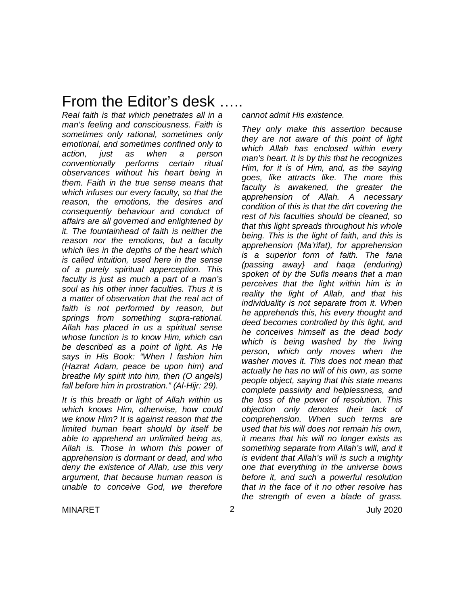# From the Editor's desk …..

*Real faith is that which penetrates all in a man's feeling and consciousness. Faith is sometimes only rational, sometimes only emotional, and sometimes confined only to action, just as when a person conventionally performs certain ritual observances without his heart being in them. Faith in the true sense means that which infuses our every faculty, so that the reason, the emotions, the desires and consequently behaviour and conduct of affairs are all governed and enlightened by it. The fountainhead of faith is neither the reason nor the emotions, but a faculty which lies in the depths of the heart which is called intuition, used here in the sense of a purely spiritual apperception. This faculty is just as much a part of a man's soul as his other inner faculties. Thus it is a matter of observation that the real act of faith is not performed by reason, but springs from something supra-rational. Allah has placed in us a spiritual sense whose function is to know Him, which can be described as a point of light. As He says in His Book: "When l fashion him (Hazrat Adam, peace be upon him) and breathe My spirit into him, then (O angels) fall before him in prostration." (Al-Hijr: 29).*

*It is this breath or light of Allah within us which knows Him, otherwise, how could we know Him? It is against reason that the limited human heart should by itself be able to apprehend an unlimited being as, Allah is. Those in whom this power of apprehension is dormant or dead, and who deny the existence of Allah, use this very argument, that because human reason is unable to conceive God, we therefore* 

*cannot admit His existence.*

*They only make this assertion because they are not aware of this point of light which Allah has enclosed within every man's heart. It is by this that he recognizes Him, for it is of Him, and, as the saying goes, like attracts like. The more this faculty is awakened, the greater the apprehension of Allah. A necessary condition of this is that the dirt covering the rest of his faculties should be cleaned, so that this light spreads throughout his whole being. This is the light of faith, and this is apprehension (Ma'rifat), for apprehension is a superior form of faith. The fana (passing away} and haqa (enduring) spoken of by the Sufis means that a man perceives that the light within him is in reality the light of Allah, and that his individuality is not separate from it. When he apprehends this, his every thought and deed becomes controlled by this light, and he conceives himself as the dead body which is being washed by the living person, which only moves when the washer moves it. This does not mean that actually he has no will of his own, as some people object, saying that this state means complete passivity and helplessness, and the loss of the power of resolution. This objection only denotes their lack of comprehension. When such terms are used that his will does not remain his own, it means that his will no longer exists as something separate from Allah's will, and it is evident that Allah's will is such a mighty one that everything in the universe bows before it, and such a powerful resolution that in the face of it no other resolve has the strength of even a blade of grass.*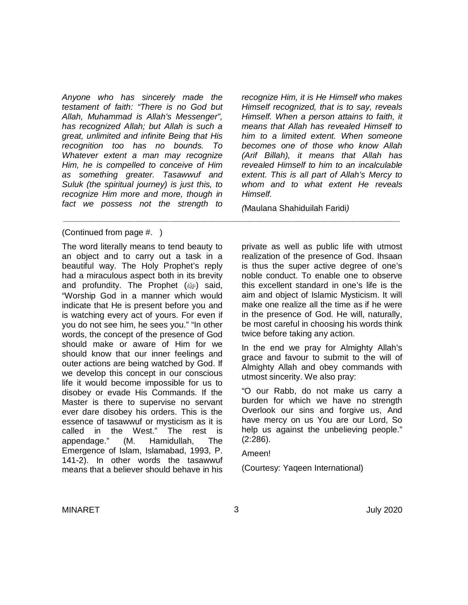*Anyone who has sincerely made the testament of faith: "There is no God but Allah, Muhammad is Allah's Messenger", has recognized Allah; but Allah is such a great, unlimited and infinite Being that His recognition too has no bounds. To Whatever extent a man may recognize Him, he is compelled to conceive of Him as something greater. Tasawwuf and Suluk (the spiritual journey) is just this, to recognize Him more and more, though in fact we possess not the strength to* 

(Continued from page #. )

The word literally means to tend beauty to an object and to carry out a task in a beautiful way. The Holy Prophet's reply had a miraculous aspect both in its brevity and profundity. The Prophet (ﷺ) said, "Worship God in a manner which would indicate that He is present before you and is watching every act of yours. For even if you do not see him, he sees you." "In other words, the concept of the presence of God should make or aware of Him for we should know that our inner feelings and outer actions are being watched by God. If we develop this concept in our conscious life it would become impossible for us to disobey or evade His Commands. If the Master is there to supervise no servant ever dare disobey his orders. This is the essence of tasawwuf or mysticism as it is called in the West." The rest is appendage." (M. Hamidullah, The Emergence of Islam, Islamabad, 1993, P. 141-2). In other words the tasawwuf means that a believer should behave in his

*recognize Him, it is He Himself who makes Himself recognized, that is to say, reveals Himself. When a person attains to faith, it means that Allah has revealed Himself to him to a limited extent. When someone becomes one of those who know Allah (Arif Billah), it means that Allah has revealed Himself to him to an incalculable extent. This is all part of Allah's Mercy to whom and to what extent He reveals Himself.*

*(*Maulana Shahiduilah Faridi*)*

private as well as public life with utmost realization of the presence of God. Ihsaan is thus the super active degree of one's noble conduct. To enable one to observe this excellent standard in one's life is the aim and object of Islamic Mysticism. It will make one realize all the time as if he were in the presence of God. He will, naturally, be most careful in choosing his words think twice before taking any action.

In the end we pray for Almighty Allah's grace and favour to submit to the will of Almighty Allah and obey commands with utmost sincerity. We also pray:

"O our Rabb, do not make us carry a burden for which we have no strength Overlook our sins and forgive us, And have mercy on us You are our Lord, So help us against the unbelieving people." (2:286).

Ameen!

(Courtesy: Yaqeen International)

*\_\_\_\_\_\_\_\_\_\_\_\_\_\_\_\_\_\_\_\_\_\_\_\_\_\_\_\_\_\_\_\_\_\_\_\_\_\_\_\_\_\_\_\_\_\_\_\_\_\_\_\_\_\_\_\_\_\_\_\_\_\_\_\_\_\_\_\_\_\_\_\_*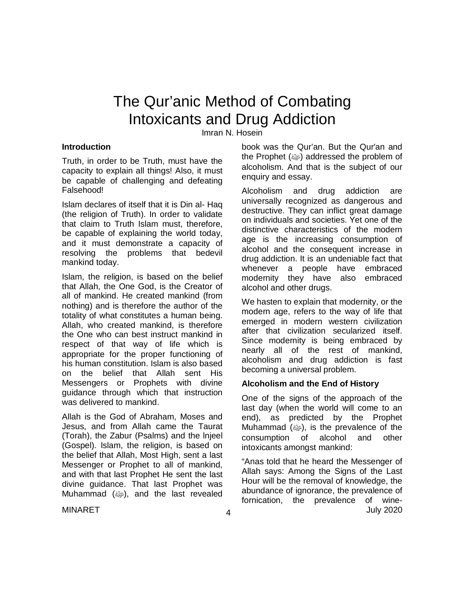# The Qur'anic Method of Combating Intoxicants and Drug Addiction

Imran N. Hosein

#### **Introduction**

Truth, in order to be Truth, must have the capacity to explain all things! Also, it must be capable of challenging and defeating Falsehood!

Islam declares of itself that it is Din al- Haq (the religion of Truth). In order to validate that claim to Truth Islam must, therefore, be capable of explaining the world today, and it must demonstrate a capacity of resolving the problems that bedevil mankind today.

Islam, the religion, is based on the belief that Allah, the One God, is the Creator of all of mankind. He created mankind (from nothing) and is therefore the author of the totality of what constitutes a human being. Allah, who created mankind, is therefore the One who can best instruct mankind in respect of that way of life which is appropriate for the proper functioning of his human constitution. Islam is also based on the belief that Allah sent His Messengers or Prophets with divine guidance through which that instruction was delivered to mankind.

Allah is the God of Abraham, Moses and Jesus, and from Allah came the Taurat (Torah), the Zabur (Psalms) and the lnjeel (Gospel). Islam, the religion, is based on the belief that Allah, Most High, sent a last Messenger or Prophet to all of mankind, and with that last Prophet He sent the last divine guidance. That last Prophet was Muhammad (ﷺ), and the last revealed book was the Qur'an. But the Qur'an and the Prophet (ﷺ) addressed the problem of alcoholism. And that is the subject of our enquiry and essay.

Alcoholism and drug addiction are universally recognized as dangerous and destructive. They can inflict great damage on individuals and societies. Yet one of the distinctive characteristics of the modern age is the increasing consumption of alcohol and the consequent increase in drug addiction. It is an undeniable fact that whenever a people have embraced modernity they have also embraced alcohol and other drugs.

We hasten to explain that modernity, or the modern age, refers to the way of life that emerged in modern western civilization after that civilization secularized itself. Since modernity is being embraced by nearly all of the rest of mankind, alcoholism and drug addiction is fast becoming a universal problem.

#### **Alcoholism and the End of History**

One of the signs of the approach of the last day (when the world will come to an end), as predicted by the Prophet Muhammad  $(\omega)$ , is the prevalence of the consumption of alcohol and other intoxicants amongst mankind:

MINARET July 2020 "Anas told that he heard the Messenger of Allah says: Among the Signs of the Last Hour will be the removal of knowledge, the abundance of ignorance, the prevalence of fornication, the prevalence of wine-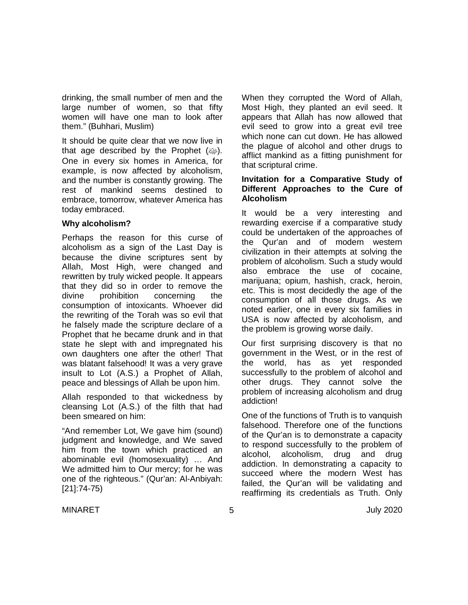drinking, the small number of men and the large number of women, so that fifty women will have one man to look after them." (Buhhari, Muslim)

It should be quite clear that we now live in that age described by the Prophet  $(\omega_p)$ . One in every six homes in America, for example, is now affected by alcoholism, and the number is constantly growing. The rest of mankind seems destined to embrace, tomorrow, whatever America has today embraced.

#### **Why alcoholism?**

Perhaps the reason for this curse of alcoholism as a sign of the Last Day is because the divine scriptures sent by Allah, Most High, were changed and rewritten by truly wicked people. It appears that they did so in order to remove the divine prohibition concerning the consumption of intoxicants. Whoever did the rewriting of the Torah was so evil that he falsely made the scripture declare of a Prophet that he became drunk and in that state he slept with and impregnated his own daughters one after the other! That was blatant falsehood! It was a very grave insult to Lot (A.S.) a Prophet of Allah, peace and blessings of Allah be upon him.

Allah responded to that wickedness by cleansing Lot (A.S.) of the filth that had been smeared on him:

"And remember Lot, We gave him (sound) judgment and knowledge, and We saved him from the town which practiced an abominable evil (homosexuality) … And We admitted him to Our mercy; for he was one of the righteous." (Qur'an: Al-Anbiyah: [21]:74-75)

When they corrupted the Word of Allah, Most High, they planted an evil seed. It appears that Allah has now allowed that evil seed to grow into a great evil tree which none can cut down. He has allowed the plague of alcohol and other drugs to afflict mankind as a fitting punishment for that scriptural crime.

#### **Invitation for a Comparative Study of Different Approaches to the Cure of Alcoholism**

It would be a very interesting and rewarding exercise if a comparative study could be undertaken of the approaches of the Qur'an and of modern western civilization in their attempts at solving the problem of alcoholism. Such a study would also embrace the use of cocaine, marijuana; opium, hashish, crack, heroin, etc. This is most decidedly the age of the consumption of all those drugs. As we noted earlier, one in every six families in USA is now affected by alcoholism, and the problem is growing worse daily.

Our first surprising discovery is that no government in the West, or in the rest of the world, has as yet responded successfully to the problem of alcohol and other drugs. They cannot solve the problem of increasing alcoholism and drug addiction!

One of the functions of Truth is to vanquish falsehood. Therefore one of the functions of the Qur'an is to demonstrate a capacity to respond successfully to the problem of alcohol, alcoholism, drug and drug addiction. In demonstrating a capacity to succeed where the modern West has failed, the Qur'an will be validating and reaffirming its credentials as Truth. Only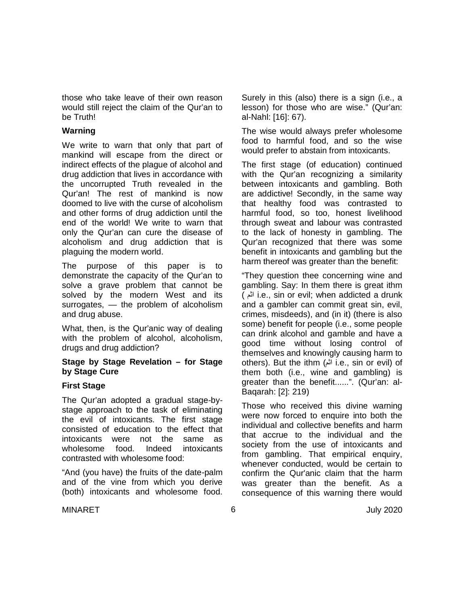those who take leave of their own reason would still reject the claim of the Qur'an to be Truth!

#### **Warning**

We write to warn that only that part of mankind will escape from the direct or indirect effects of the plague of alcohol and drug addiction that lives in accordance with the uncorrupted Truth revealed in the Qur'an! The rest of mankind is now doomed to live with the curse of alcoholism and other forms of drug addiction until the end of the world! We write to warn that only the Qur'an can cure the disease of alcoholism and drug addiction that is plaguing the modern world.

The purpose of this paper is to demonstrate the capacity of the Qur'an to solve a grave problem that cannot be solved by the modern West and its surrogates, — the problem of alcoholism and drug abuse.

What, then, is the Qur'anic way of dealing with the problem of alcohol, alcoholism, drugs and drug addiction?

#### **Stage by Stage Revelation – for Stage by Stage Cure**

### **First Stage**

The Qur'an adopted a gradual stage-bystage approach to the task of eliminating the evil of intoxicants. The first stage consisted of education to the effect that intoxicants were not the same as wholesome food. Indeed intoxicants contrasted with wholesome food:

"And (you have) the fruits of the date-palm and of the vine from which you derive (both) intoxicants and wholesome food. Surely in this (also) there is a sign (i.e., a lesson) for those who are wise." (Qur'an: al-Nahl: [16]: 67).

The wise would always prefer wholesome food to harmful food, and so the wise would prefer to abstain from intoxicants.

The first stage (of education) continued with the Qur'an recognizing a similarity between intoxicants and gambling. Both are addictive! Secondly, in the same way that healthy food was contrasted to harmful food, so too, honest livelihood through sweat and labour was contrasted to the lack of honesty in gambling. The Qur'an recognized that there was some benefit in intoxicants and gambling but the harm thereof was greater than the benefit:

"They question thee concerning wine and gambling. Say: In them there is great ithm ( اثم i.e., sin or evil; when addicted a drunk and a gambler can commit great sin, evil, crimes, misdeeds), and (in it) (there is also some) benefit for people (i.e., some people can drink alcohol and gamble and have a good time without losing control of themselves and knowingly causing harm to others). But the ithm (اثم i.e., sin or evil) of them both (i.e., wine and gambling) is greater than the benefit......". (Qur'an: al-Baqarah: [2]: 219)

Those who received this divine warning were now forced to enquire into both the individual and collective benefits and harm that accrue to the individual and the society from the use of intoxicants and from gambling. That empirical enquiry, whenever conducted, would be certain to confirm the Qur'anic claim that the harm was greater than the benefit. As a consequence of this warning there would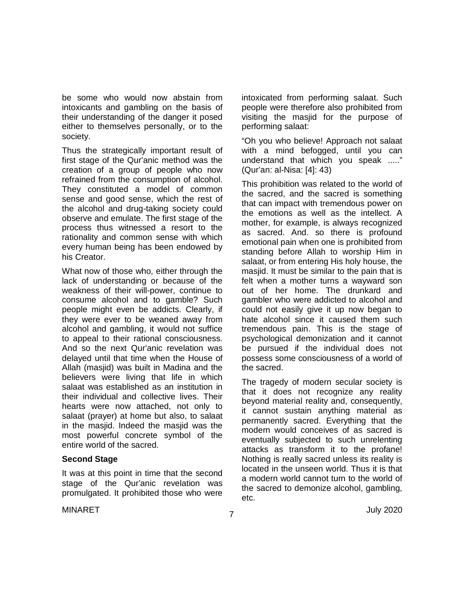be some who would now abstain from intoxicants and gambling on the basis of their understanding of the danger it posed either to themselves personally, or to the society.

Thus the strategically important result of first stage of the Qur'anic method was the creation of a group of people who now refrained from the consumption of alcohol. They constituted a model of common sense and good sense, which the rest of the alcohol and drug-taking society could observe and emulate. The first stage of the process thus witnessed a resort to the rationality and common sense with which every human being has been endowed by his Creator.

What now of those who, either through the lack of understanding or because of the weakness of their will-power, continue to consume alcohol and to gamble? Such people might even be addicts. Clearly, if they were ever to be weaned away from alcohol and gambling, it would not suffice to appeal to their rational consciousness. And so the next Qur'anic revelation was delayed until that time when the House of Allah (masjid) was built in Madina and the believers were living that life in which salaat was established as an institution in their individual and collective lives. Their hearts were now attached, not only to salaat (prayer) at home but also, to salaat in the masjid. Indeed the masjid was the most powerful concrete symbol of the entire world of the sacred.

#### **Second Stage**

It was at this point in time that the second stage of the Qur'anic revelation was promulgated. It prohibited those who were intoxicated from performing salaat. Such people were therefore also prohibited from visiting the masjid for the purpose of performing salaat:

"Oh you who believe! Approach not salaat with a mind befogged, until you can understand that which you speak ....." (Qur'an: al-Nisa: [4]: 43)

This prohibition was related to the world of the sacred, and the sacred is something that can impact with tremendous power on the emotions as well as the intellect. A mother, for example, is always recognized as sacred. And. so there is profound emotional pain when one is prohibited from standing before Allah to worship Him in salaat, or from entering His holy house, the masjid. It must be similar to the pain that is felt when a mother turns a wayward son out of her home. The drunkard and gambler who were addicted to alcohol and could not easily give it up now began to hate alcohol since it caused them such tremendous pain. This is the stage of psychological demonization and it cannot be pursued if the individual does not possess some consciousness of a world of the sacred.

The tragedy of modern secular society is that it does not recognize any reality beyond material reality and, consequently, it cannot sustain anything material as permanently sacred. Everything that the modern would conceives of as sacred is eventually subjected to such unrelenting attacks as transform it to the profane! Nothing is really sacred unless its reality is located in the unseen world. Thus it is that a modern world cannot turn to the world of the sacred to demonize alcohol, gambling, etc.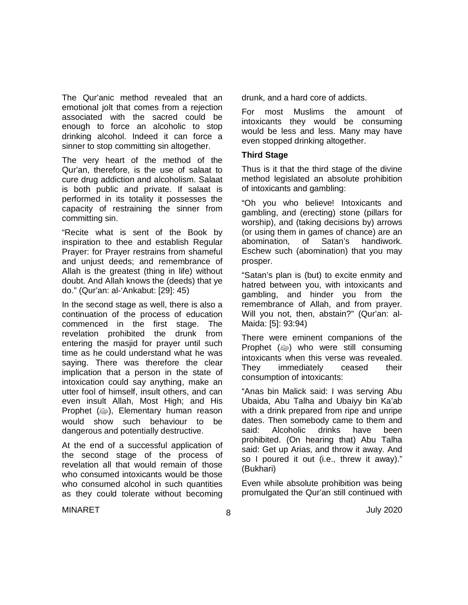The Qur'anic method revealed that an emotional jolt that comes from a rejection associated with the sacred could be enough to force an alcoholic to stop drinking alcohol. Indeed it can force a sinner to stop committing sin altogether.

The very heart of the method of the Qur'an, therefore, is the use of salaat to cure drug addiction and alcoholism. Salaat is both public and private. If salaat is performed in its totality it possesses the capacity of restraining the sinner from committing sin.

"Recite what is sent of the Book by inspiration to thee and establish Regular Prayer: for Prayer restrains from shameful and unjust deeds; and remembrance of Allah is the greatest (thing in life) without doubt. And Allah knows the (deeds) that ye do." (Qur'an: al-'Ankabut: [29]: 45)

In the second stage as well, there is also a continuation of the process of education commenced in the first stage. The revelation prohibited the drunk from entering the masjid for prayer until such time as he could understand what he was saying. There was therefore the clear implication that a person in the state of intoxication could say anything, make an utter fool of himself, insult others, and can even insult Allah, Most High; and His Prophet (@), Elementary human reason would show such behaviour to be dangerous and potentially destructive.

At the end of a successful application of the second stage of the process of revelation all that would remain of those who consumed intoxicants would be those who consumed alcohol in such quantities as they could tolerate without becoming drunk, and a hard core of addicts.

For most Muslims the amount of intoxicants they would be consuming would be less and less. Many may have even stopped drinking altogether.

#### **Third Stage**

Thus is it that the third stage of the divine method legislated an absolute prohibition of intoxicants and gambling:

"Oh you who believe! Intoxicants and gambling, and (erecting) stone (pillars for worship), and (taking decisions by) arrows (or using them in games of chance) are an abomination, of Satan's handiwork. Eschew such (abomination) that you may prosper.

"Satan's plan is (but) to excite enmity and hatred between you, with intoxicants and gambling, and hinder you from the remembrance of Allah, and from prayer. Will you not, then, abstain?" (Qur'an: al-Maida: [5]: 93:94)

There were eminent companions of the Prophet (ﷺ) who were still consuming intoxicants when this verse was revealed. They immediately ceased their consumption of intoxicants:

"Anas bin Malick said: I was serving Abu Ubaida, Abu Talha and Ubaiyy bin Ka'ab with a drink prepared from ripe and unripe dates. Then somebody came to them and<br>said: Alcoholic drinks have heen said: Alcoholic drinks have been prohibited. (On hearing that) Abu Talha said: Get up Arias, and throw it away. And so I poured it out (i.e., threw it away)." (Bukhari)

Even while absolute prohibition was being promulgated the Qur'an still continued with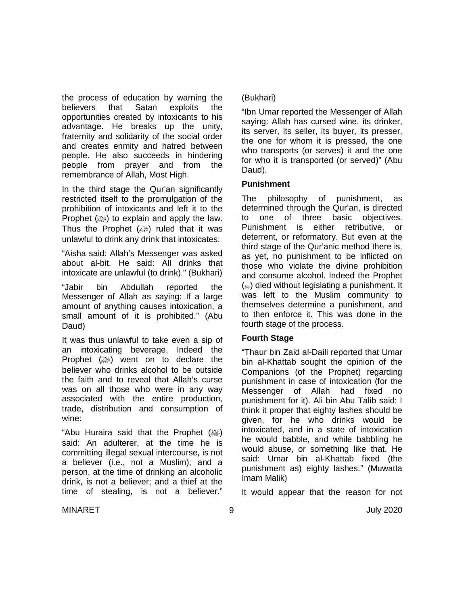the process of education by warning the believers that Satan exploits the opportunities created by intoxicants to his advantage. He breaks up the unity, fraternity and solidarity of the social order and creates enmity and hatred between people. He also succeeds in hindering people from prayer and from the remembrance of Allah, Most High.

In the third stage the Qur'an significantly restricted itself to the promulgation of the prohibition of intoxicants and left it to the Prophet  $(\omega)$  to explain and apply the law. Thus the Prophet  $(\omega)$  ruled that it was unlawful to drink any drink that intoxicates:

"Aisha said: Allah's Messenger was asked about al-bit. He said: All drinks that intoxicate are unlawful (to drink)." (Bukhari)

"Jabir bin Abdullah reported the Messenger of Allah as saying: If a large amount of anything causes intoxication, a small amount of it is prohibited." (Abu Daud)

It was thus unlawful to take even a sip of an intoxicating beverage. Indeed the Prophet  $(\omega)$  went on to declare the believer who drinks alcohol to be outside the faith and to reveal that Allah's curse was on all those who were in any way associated with the entire production, trade, distribution and consumption of wine:

"Abu Huraira said that the Prophet (@) said: An adulterer, at the time he is committing illegal sexual intercourse, is not a believer (i.e., not a Muslim); and a person, at the time of drinking an alcoholic drink, is not a believer; and a thief at the time of stealing, is not a believer."

### (Bukhari)

"Ibn Umar reported the Messenger of Allah saying: Allah has cursed wine, its drinker, its server, its seller, its buyer, its presser, the one for whom it is pressed, the one who transports (or serves) it and the one for who it is transported (or served)" (Abu Daud).

### **Punishment**

The philosophy of punishment, as determined through the Qur'an, is directed to one of three basic objectives. Punishment is either retributive, or deterrent, or reformatory. But even at the third stage of the Qur'anic method there is, as yet, no punishment to be inflicted on those who violate the divine prohibition and consume alcohol. Indeed the Prophet  $(\omega)$  died without legislating a punishment. It was left to the Muslim community to themselves determine a punishment, and to then enforce it. This was done in the fourth stage of the process.

## **Fourth Stage**

"Thaur bin Zaid al-Daili reported that Umar bin al-Khattab sought the opinion of the Companions (of the Prophet) regarding punishment in case of intoxication (for the Messenger of Allah had fixed no punishment for it). Ali bin Abu Talib said: I think it proper that eighty lashes should be given, for he who drinks would be intoxicated, and in a state of intoxication he would babble, and while babbling he would abuse, or something like that. He said: Umar bin al-Khattab fixed (the punishment as) eighty lashes." (Muwatta Imam Malik)

It would appear that the reason for not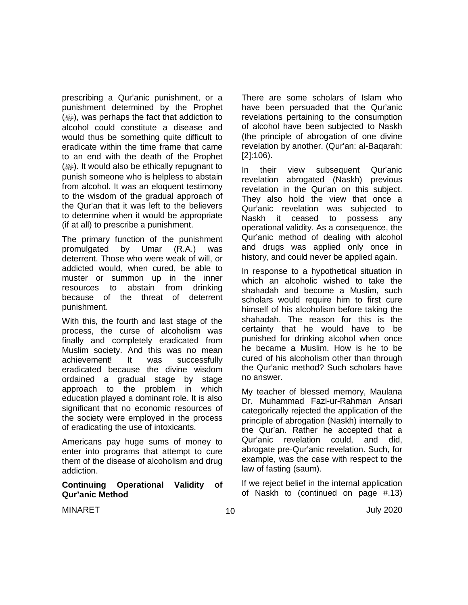prescribing a Qur'anic punishment, or a punishment determined by the Prophet (صلى الله عليه وسلم(, was perhaps the fact that addiction to alcohol could constitute a disease and would thus be something quite difficult to eradicate within the time frame that came to an end with the death of the Prophet  $(\omega)$ . It would also be ethically repugnant to punish someone who is helpless to abstain from alcohol. It was an eloquent testimony to the wisdom of the gradual approach of the Qur'an that it was left to the believers to determine when it would be appropriate (if at all) to prescribe a punishment.

The primary function of the punishment promulgated by Umar (R.A.) was deterrent. Those who were weak of will, or addicted would, when cured, be able to muster or summon up in the inner resources to abstain from drinking because of the threat of deterrent punishment.

With this, the fourth and last stage of the process, the curse of alcoholism was finally and completely eradicated from Muslim society. And this was no mean achievement! It was successfully eradicated because the divine wisdom ordained a gradual stage by stage approach to the problem in which education played a dominant role. It is also significant that no economic resources of the society were employed in the process of eradicating the use of intoxicants.

Americans pay huge sums of money to enter into programs that attempt to cure them of the disease of alcoholism and drug addiction.

#### **Continuing Operational Validity of Qur'anic Method**

There are some scholars of Islam who have been persuaded that the Qur'anic revelations pertaining to the consumption of alcohol have been subjected to Naskh (the principle of abrogation of one divine revelation by another. (Qur'an: al-Baqarah: [2]:106).

In their view subsequent Qur'anic revelation abrogated (Naskh) previous revelation in the Qur'an on this subject. They also hold the view that once a Qur'anic revelation was subjected to Naskh it ceased to possess any operational validity. As a consequence, the Qur'anic method of dealing with alcohol and drugs was applied only once in history, and could never be applied again.

In response to a hypothetical situation in which an alcoholic wished to take the shahadah and become a Muslim, such scholars would require him to first cure himself of his alcoholism before taking the shahadah. The reason for this is the certainty that he would have to be punished for drinking alcohol when once he became a Muslim. How is he to be cured of his alcoholism other than through the Qur'anic method? Such scholars have no answer.

My teacher of blessed memory, Maulana Dr. Muhammad Fazl-ur-Rahman Ansari categorically rejected the application of the principle of abrogation (Naskh) internally to the Qur'an. Rather he accepted that a Qur'anic revelation could, and did, abrogate pre-Qur'anic revelation. Such, for example, was the case with respect to the law of fasting (saum).

If we reject belief in the internal application of Naskh to (continued on page #.13)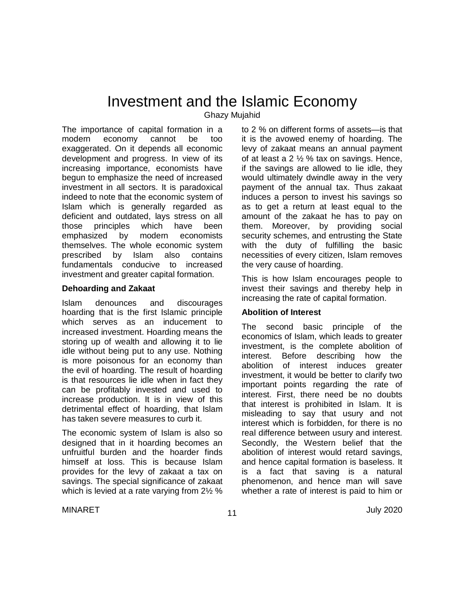# Investment and the Islamic Economy

Ghazy Mujahid

The importance of capital formation in a modern economy cannot be too exaggerated. On it depends all economic development and progress. In view of its increasing importance, economists have begun to emphasize the need of increased investment in all sectors. It is paradoxical indeed to note that the economic system of Islam which is generally regarded as deficient and outdated, lays stress on all those principles which have been emphasized by modern economists themselves. The whole economic system prescribed by Islam also contains fundamentals conducive to increased investment and greater capital formation.

#### **Dehoarding and Zakaat**

Islam denounces and discourages hoarding that is the first Islamic principle which serves as an inducement to increased investment. Hoarding means the storing up of wealth and allowing it to lie idle without being put to any use. Nothing is more poisonous for an economy than the evil of hoarding. The result of hoarding is that resources lie idle when in fact they can be profitably invested and used to increase production. It is in view of this detrimental effect of hoarding, that Islam has taken severe measures to curb it.

The economic system of Islam is also so designed that in it hoarding becomes an unfruitful burden and the hoarder finds himself at loss. This is because Islam provides for the levy of zakaat a tax on savings. The special significance of zakaat which is levied at a rate varying from 2½ %

to 2 % on different forms of assets—is that it is the avowed enemy of hoarding. The levy of zakaat means an annual payment of at least a 2 ½ % tax on savings. Hence, if the savings are allowed to lie idle, they would ultimately dwindle away in the very payment of the annual tax. Thus zakaat induces a person to invest his savings so as to get a return at least equal to the amount of the zakaat he has to pay on them. Moreover, by providing social security schemes, and entrusting the State with the duty of fulfilling the basic necessities of every citizen, Islam removes the very cause of hoarding.

This is how Islam encourages people to invest their savings and thereby help in increasing the rate of capital formation.

### **Abolition of Interest**

The second basic principle of the economics of Islam, which leads to greater investment, is the complete abolition of interest. Before describing how the abolition of interest induces greater investment, it would be better to clarify two important points regarding the rate of interest. First, there need be no doubts that interest is prohibited in Islam. It is misleading to say that usury and not interest which is forbidden, for there is no real difference between usury and interest. Secondly, the Western belief that the abolition of interest would retard savings, and hence capital formation is baseless. It is a fact that saving is a natural phenomenon, and hence man will save whether a rate of interest is paid to him or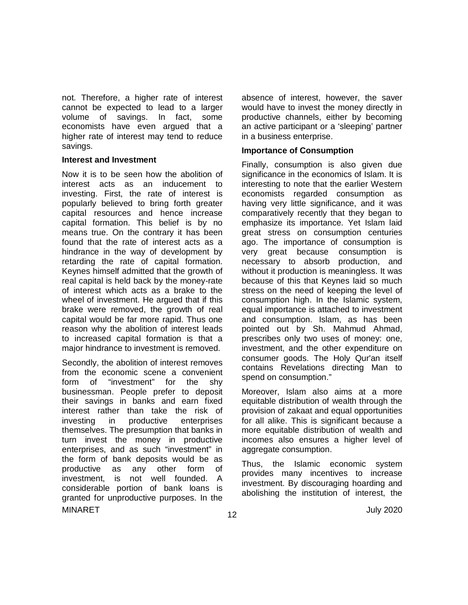not. Therefore, a higher rate of interest cannot be expected to lead to a larger volume of savings. In fact, some economists have even argued that a higher rate of interest may tend to reduce savings.

#### **Interest and Investment**

Now it is to be seen how the abolition of interest acts as an inducement to investing. First, the rate of interest is popularly believed to bring forth greater capital resources and hence increase capital formation. This belief is by no means true. On the contrary it has been found that the rate of interest acts as a hindrance in the way of development by retarding the rate of capital formation. Keynes himself admitted that the growth of real capital is held back by the money-rate of interest which acts as a brake to the wheel of investment. He argued that if this brake were removed, the growth of real capital would be far more rapid. Thus one reason why the abolition of interest leads to increased capital formation is that a major hindrance to investment is removed.

MINARET July 2020 Secondly, the abolition of interest removes from the economic scene a convenient<br>form of "investment" for the shv form of "investment" for the shy businessman. People prefer to deposit their savings in banks and earn fixed interest rather than take the risk of investing in productive enterprises themselves. The presumption that banks in turn invest the money in productive enterprises, and as such "investment" in the form of bank deposits would be as productive as any other form of investment, is not well founded. A considerable portion of bank loans is granted for unproductive purposes. In the

absence of interest, however, the saver would have to invest the money directly in productive channels, either by becoming an active participant or a 'sleeping' partner in a business enterprise.

#### **Importance of Consumption**

Finally, consumption is also given due significance in the economics of Islam. It is interesting to note that the earlier Western economists regarded consumption as having very little significance, and it was comparatively recently that they began to emphasize its importance. Yet Islam laid great stress on consumption centuries ago. The importance of consumption is very great because consumption is necessary to absorb production, and without it production is meaningless. It was because of this that Keynes laid so much stress on the need of keeping the level of consumption high. In the Islamic system, equal importance is attached to investment and consumption. Islam, as has been pointed out by Sh. Mahmud Ahmad, prescribes only two uses of money: one, investment, and the other expenditure on consumer goods. The Holy Qur'an itself contains Revelations directing Man to spend on consumption."

Moreover, Islam also aims at a more equitable distribution of wealth through the provision of zakaat and equal opportunities for all alike. This is significant because a more equitable distribution of wealth and incomes also ensures a higher level of aggregate consumption.

Thus, the Islamic economic system provides many incentives to increase investment. By discouraging hoarding and abolishing the institution of interest, the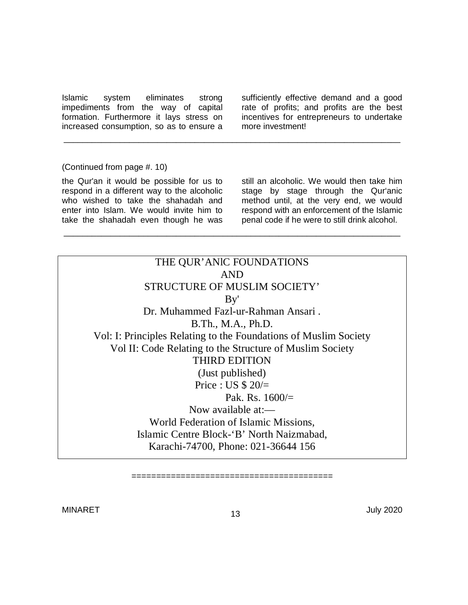Islamic system eliminates strong impediments from the way of capital formation. Furthermore it lays stress on increased consumption, so as to ensure a

sufficiently effective demand and a good rate of profits; and profits are the best incentives for entrepreneurs to undertake more investment!

#### (Continued from page #. 10)

the Qur'an it would be possible for us to respond in a different way to the alcoholic who wished to take the shahadah and enter into Islam. We would invite him to take the shahadah even though he was

still an alcoholic. We would then take him stage by stage through the Qur'anic method until, at the very end, we would respond with an enforcement of the Islamic penal code if he were to still drink alcohol.

THE QUR'ANlC FOUNDATIONS AND STRUCTURE OF MUSLIM SOCIETY' By' Dr. Muhammed Fazl-ur-Rahman Ansari . B.Th., M.A., Ph.D. Vol: I: Principles Relating to the Foundations of Muslim Society Vol II: Code Relating to the Structure of Muslim Society THIRD EDITION (Just published) Price : US  $$20/$ Pak. Rs.  $1600/$ = Now available at:— World Federation of Islamic Missions, Islamic Centre Block-'B' North Naizmabad, Karachi-74700, Phone: 021-36644 156

\_\_\_\_\_\_\_\_\_\_\_\_\_\_\_\_\_\_\_\_\_\_\_\_\_\_\_\_\_\_\_\_\_\_\_\_\_\_\_\_\_\_\_\_\_\_\_\_\_\_\_\_\_\_\_\_\_\_\_\_\_\_\_\_\_\_\_\_\_\_\_\_

\_\_\_\_\_\_\_\_\_\_\_\_\_\_\_\_\_\_\_\_\_\_\_\_\_\_\_\_\_\_\_\_\_\_\_\_\_\_\_\_\_\_\_\_\_\_\_\_\_\_\_\_\_\_\_\_\_\_\_\_\_\_\_\_\_\_\_\_\_\_\_\_

=========================================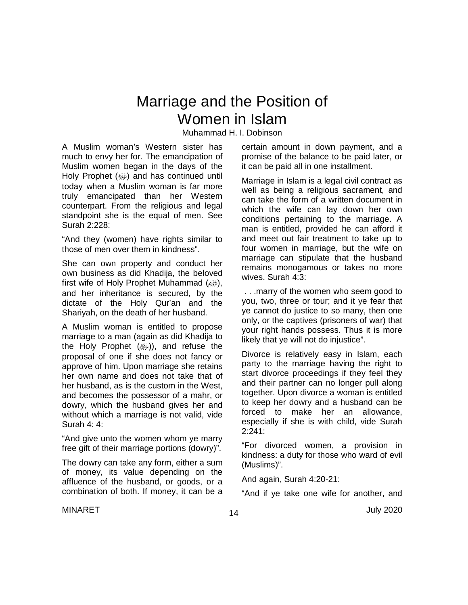# Marriage and the Position of Women in Islam

Muhammad H. I. Dobinson

A Muslim woman's Western sister has much to envy her for. The emancipation of Muslim women began in the days of the Holy Prophet (@) and has continued until today when a Muslim woman is far more truly emancipated than her Western counterpart. From the religious and legal standpoint she is the equal of men. See Surah 2:228:

"And they (women) have rights similar to those of men over them in kindness".

She can own property and conduct her own business as did Khadija, the beloved first wife of Holy Prophet Muhammad (@), and her inheritance is secured, by the dictate of the Holy Qur'an and the Shariyah, on the death of her husband.

A Muslim woman is entitled to propose marriage to a man (again as did Khadija to the Holy Prophet ((). and refuse the proposal of one if she does not fancy or approve of him. Upon marriage she retains her own name and does not take that of her husband, as is the custom in the West, and becomes the possessor of a mahr, or dowry, which the husband gives her and without which a marriage is not valid, vide Surah 4: 4:

"And give unto the women whom ye marry free gift of their marriage portions (dowry)".

The dowry can take any form, either a sum of money, its value depending on the affluence of the husband, or goods, or a combination of both. If money, it can be a

certain amount in down payment, and a promise of the balance to be paid later, or it can be paid all in one installment.

Marriage in Islam is a legal civil contract as well as being a religious sacrament, and can take the form of a written document in which the wife can lay down her own conditions pertaining to the marriage. A man is entitled, provided he can afford it and meet out fair treatment to take up to four women in marriage, but the wife on marriage can stipulate that the husband remains monogamous or takes no more wives. Surah 4:3:

. . .marry of the women who seem good to you, two, three or tour; and it ye fear that ye cannot do justice to so many, then one only, or the captives (prisoners of war) that your right hands possess. Thus it is more likely that ye will not do injustice".

Divorce is relatively easy in Islam, each party to the marriage having the right to start divorce proceedings if they feel they and their partner can no longer pull along together. Upon divorce a woman is entitled to keep her dowry and a husband can be forced to make her an allowance, especially if she is with child, vide Surah 2:241:

"For divorced women, a provision in kindness: a duty for those who ward of evil (Muslims)".

And again, Surah 4:20-21:

"And if ye take one wife for another, and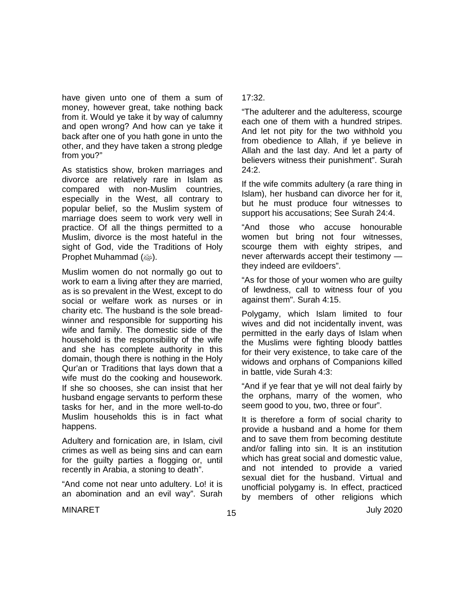have given unto one of them a sum of money, however great, take nothing back from it. Would ye take it by way of calumny and open wrong? And how can ye take it back after one of you hath gone in unto the other, and they have taken a strong pledge from you?"

As statistics show, broken marriages and divorce are relatively rare in Islam as compared with non-Muslim countries, especially in the West, all contrary to popular belief, so the Muslim system of marriage does seem to work very well in practice. Of all the things permitted to a Muslim, divorce is the most hateful in the sight of God, vide the Traditions of Holy Prophet Muhammad (وَالله عَلَيْهَا

Muslim women do not normally go out to work to earn a living after they are married, as is so prevalent in the West, except to do social or welfare work as nurses or in charity etc. The husband is the sole breadwinner and responsible for supporting his wife and family. The domestic side of the household is the responsibility of the wife and she has complete authority in this domain, though there is nothing in the Holy Qur'an or Traditions that lays down that a wife must do the cooking and housework. If she so chooses, she can insist that her husband engage servants to perform these tasks for her, and in the more well-to-do Muslim households this is in fact what happens.

Adultery and fornication are, in Islam, civil crimes as well as being sins and can earn for the guilty parties a flogging or, until recently in Arabia, a stoning to death".

"And come not near unto adultery. Lo! it is an abomination and an evil way". Surah

#### 17:32.

"The adulterer and the adulteress, scourge each one of them with a hundred stripes. And let not pity for the two withhold you from obedience to Allah, if ye believe in Allah and the last day. And let a party of believers witness their punishment". Surah  $24.2.$ 

If the wife commits adultery (a rare thing in Islam), her husband can divorce her for it, but he must produce four witnesses to support his accusations; See Surah 24:4.

"And those who accuse honourable women but bring not four witnesses, scourge them with eighty stripes, and never afterwards accept their testimony they indeed are evildoers".

"As for those of your women who are guilty of lewdness, call to witness four of you against them". Surah 4:15.

Polygamy, which Islam limited to four wives and did not incidentally invent, was permitted in the early days of Islam when the Muslims were fighting bloody battles for their very existence, to take care of the widows and orphans of Companions killed in battle, vide Surah 4:3:

"And if ye fear that ye will not deal fairly by the orphans, marry of the women, who seem good to you, two, three or four".

It is therefore a form of social charity to provide a husband and a home for them and to save them from becoming destitute and/or falling into sin. It is an institution which has great social and domestic value, and not intended to provide a varied sexual diet for the husband. Virtual and unofficial polygamy is. In effect, practiced by members of other religions which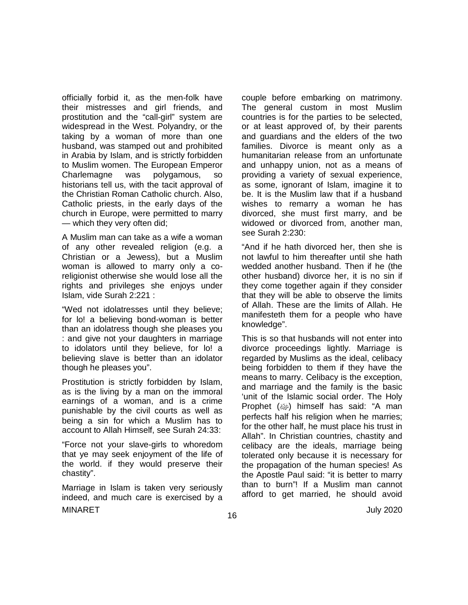officially forbid it, as the men-folk have their mistresses and girl friends, and prostitution and the "call-girl" system are widespread in the West. Polyandry, or the taking by a woman of more than one husband, was stamped out and prohibited in Arabia by Islam, and is strictly forbidden to Muslim women. The European Emperor Charlemagne was polygamous, so historians tell us, with the tacit approval of the Christian Roman Catholic church. Also, Catholic priests, in the early days of the church in Europe, were permitted to marry — which they very often did;

A Muslim man can take as a wife a woman of any other revealed religion (e.g. a Christian or a Jewess), but a Muslim woman is allowed to marry only a coreligionist otherwise she would lose all the rights and privileges she enjoys under Islam, vide Surah 2:221 :

"Wed not idolatresses until they believe; for lo! a believing bond-woman is better than an idolatress though she pleases you : and give not your daughters in marriage to idolators until they believe, for lo! a believing slave is better than an idolator though he pleases you".

Prostitution is strictly forbidden by Islam, as is the living by a man on the immoral earnings of a woman, and is a crime punishable by the civil courts as well as being a sin for which a Muslim has to account to Allah Himself, see Surah 24:33:

"Force not your slave-girls to whoredom that ye may seek enjoyment of the life of the world. if they would preserve their chastity".

MINARET July 2020 Marriage in Islam is taken very seriously indeed, and much care is exercised by a

couple before embarking on matrimony. The general custom in most Muslim countries is for the parties to be selected, or at least approved of, by their parents and guardians and the elders of the two families. Divorce is meant only as a humanitarian release from an unfortunate and unhappy union, not as a means of providing a variety of sexual experience, as some, ignorant of Islam, imagine it to be. It is the Muslim law that if a husband wishes to remarry a woman he has divorced, she must first marry, and be widowed or divorced from, another man, see Surah 2:230:

"And if he hath divorced her, then she is not lawful to him thereafter until she hath wedded another husband. Then if he (the other husband) divorce her, it is no sin if they come together again if they consider that they will be able to observe the limits of Allah. These are the limits of Allah. He manifesteth them for a people who have knowledge".

This is so that husbands will not enter into divorce proceedings lightly. Marriage is regarded by Muslims as the ideal, celibacy being forbidden to them if they have the means to marry. Celibacy is the exception, and marriage and the family is the basic 'unit of the Islamic social order. The Holy Prophet (ﷺ) himself has said: "A man perfects half his religion when he marries; for the other half, he must place his trust in Allah". In Christian countries, chastity and celibacy are the ideals, marriage being tolerated only because it is necessary for the propagation of the human species! As the Apostle Paul said: "it is better to marry than to burn"! If a Muslim man cannot afford to get married, he should avoid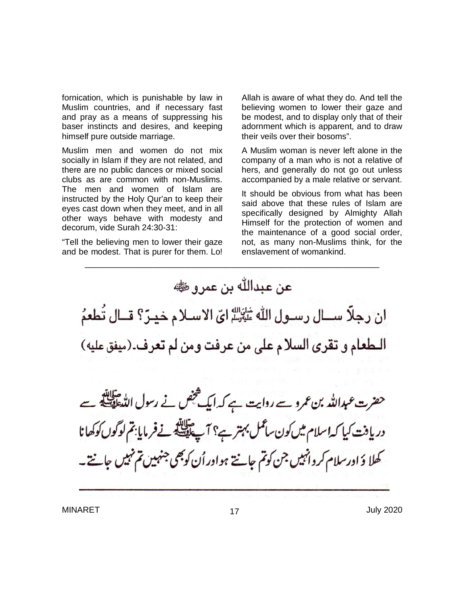fornication, which is punishable by law in Muslim countries, and if necessary fast and pray as a means of suppressing his baser instincts and desires, and keeping himself pure outside marriage.

Muslim men and women do not mix socially in Islam if they are not related, and there are no public dances or mixed social clubs as are common with non-Muslims. The men and women of Islam are instructed by the Holy Qur'an to keep their eyes cast down when they meet, and in all other ways behave with modesty and decorum, vide Surah 24:30-31:

"Tell the believing men to lower their gaze and be modest. That is purer for them. Lo!

Allah is aware of what they do. And tell the believing women to lower their gaze and be modest, and to display only that of their adornment which is apparent, and to draw their veils over their bosoms".

A Muslim woman is never left alone in the company of a man who is not a relative of hers, and generally do not go out unless accompanied by a male relative or servant.

It should be obvious from what has been said above that these rules of Islam are specifically designed by Almighty Allah Himself for the protection of women and the maintenance of a good social order, not, as many non-Muslims think, for the enslavement of womankind.

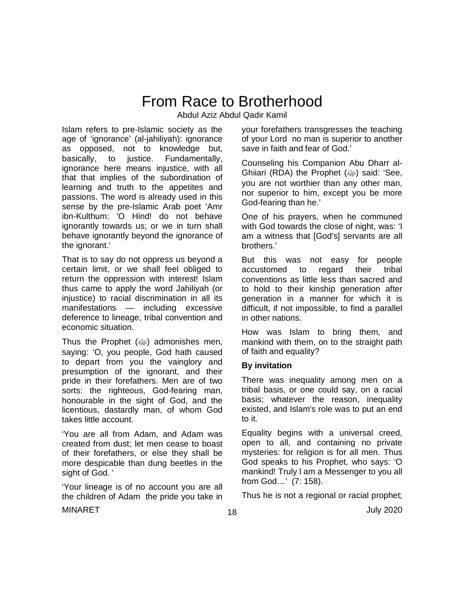# From Race to Brotherhood

Abdul Aziz Abdul Qadir Kamil

Islam refers to pre-Islamic society as the age of 'ignorance' (al-jahiliyah): ignorance as opposed, not to knowledge but, basically, to justice. Fundamentally, ignorance here means injustice, with all that that implies of the subordination of learning and truth to the appetites and passions. The word is already used in this sense by the pre-Islamic Arab poet 'Amr ibn-Kulthum: 'O Hind! do not behave ignorantly towards us; or we in turn shall behave ignorantly beyond the ignorance of the ignorant.'

That is to say do not oppress us beyond a certain limit, or we shall feel obliged to return the oppression with interest! Islam thus came to apply the word Jahiliyah (or injustice) to racial discrimination in all its manifestations — including excessive deference to lineage, tribal convention and economic situation.

Thus the Prophet  $(\omega)$  admonishes men, saying: 'O, you people, God hath caused to depart from you the vainglory and presumption of the ignorant, and their pride in their forefathers. Men are of two sorts: the righteous, God-fearing man, honourable in the sight of God, and the licentious, dastardly man, of whom God takes little account.

'You are all from Adam, and Adam was created from dust; let men cease to boast of their forefathers, or else they shall be more despicable than dung beetles in the sight of God. '

'Your lineage is of no account you are all the children of Adam the pride you take in

your forefathers transgresses the teaching of your Lord no man is superior to another save in faith and fear of God.'

Counseling his Companion Abu Dharr al-Ghiiari (RDA) the Prophet (@) said: 'See, you are not worthier than any other man, nor superior to him, except you be more God-fearing than he.'

One of his prayers, when he communed with God towards the close of night, was: 'I am a witness that [God's] servants are all brothers.'

But this was not easy for people accustomed to regard their tribal conventions as little less than sacred and to hold to their kinship generation after generation in a manner for which it is difficult, if not impossible, to find a parallel in other nations.

How was Islam to bring them, and mankind with them, on to the straight path of faith and equality?

### **By invitation**

There was inequality among men on a tribal basis, or one could say, on a racial basis; whatever the reason, inequality existed, and Islam's role was to put an end to it.

Equality begins with a universal creed, open to all, and containing no private mysteries: for religion is for all men. Thus God speaks to his Prophet, who says: 'O mankind! Truly l am a Messenger to you all from God…' (7: 158).

Thus he is not a regional or racial prophet;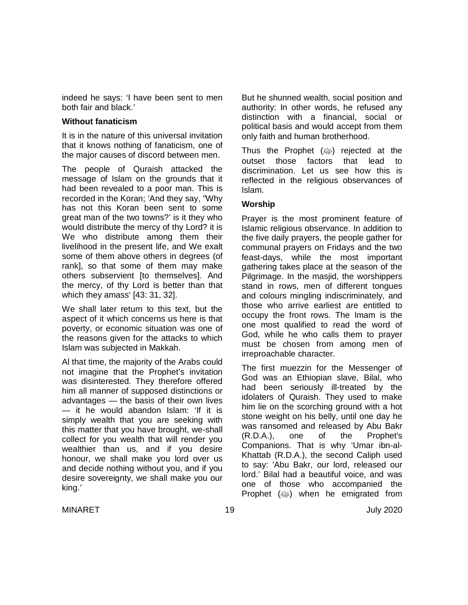indeed he says: 'I have been sent to men both fair and black.'

#### **Without fanaticism**

It is in the nature of this universal invitation that it knows nothing of fanaticism, one of the major causes of discord between men.

The people of Quraish attacked the message of Islam on the grounds that it had been revealed to a poor man. This is recorded in the Koran; 'And they say, "Why has not this Koran been sent to some great man of the two towns?' is it they who would distribute the mercy of thy Lord? it is We who distribute among them their livelihood in the present life, and We exalt some of them above others in degrees (of rank], so that some of them may make others subservient [to themselves]. And the mercy, of thy Lord is better than that which they amass' [43: 31, 32].

We shall later return to this text, but the aspect of it which concerns us here is that poverty, or economic situation was one of the reasons given for the attacks to which Islam was subjected in Makkah.

Al that time, the majority of the Arabs could not imagine that the Prophet's invitation was disinterested. They therefore offered him all manner of supposed distinctions or advantages — the basis of their own lives — it he would abandon Islam: 'If it is simply wealth that you are seeking with this matter that you have brought, we-shall collect for you wealth that will render you wealthier than us, and if you desire honour, we shall make you lord over us and decide nothing without you, and if you desire sovereignty, we shall make you our king.'

But he shunned wealth, social position and authority: In other words, he refused any distinction with a financial, social or political basis and would accept from them only faith and human brotherhood.

Thus the Prophet  $(\omega)$  rejected at the outset those factors that lead to discrimination. Let us see how this is reflected in the religious observances of Islam.

#### **Worship**

Prayer is the most prominent feature of Islamic religious observance. In addition to the five daily prayers, the people gather for communal prayers on Fridays and the two feast-days, while the most important gathering takes place at the season of the Pilgrimage. In the masjid, the worshippers stand in rows, men of different tongues and colours mingling indiscriminately, and those who arrive earliest are entitled to occupy the front rows. The Imam is the one most qualified to read the word of God, while he who calls them to prayer must be chosen from among men of irreproachable character.

The first muezzin for the Messenger of God was an Ethiopian slave, Bilal, who had been seriously ill-treated by the idolaters of Quraish. They used to make him lie on the scorching ground with a hot stone weight on his belly, until one day he was ransomed and released by Abu Bakr (R.D.A.), one of the Prophet's Companions. That is why 'Umar ibn-al-Khattab (R.D.A.), the second Caliph used to say: 'Abu Bakr, our lord, released our lord.' Bilal had a beautiful voice, and was one of those who accompanied the Prophet  $(\omega)$  when he emigrated from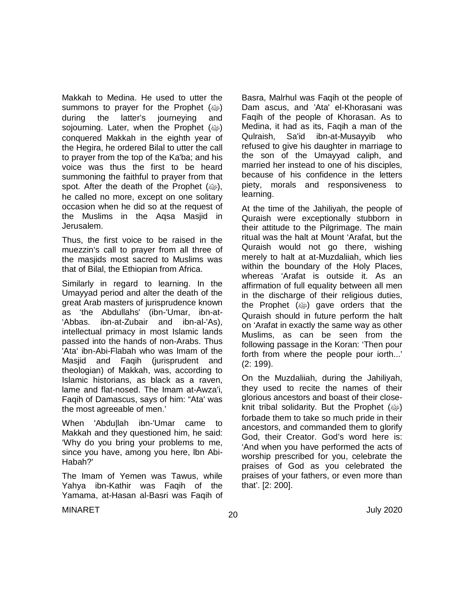Makkah to Medina. He used to utter the summons to prayer for the Prophet (ﷺ) during the latter's journeying and sojourning. Later, when the Prophet (ﷺ) conquered Makkah in the eighth year of the Hegira, he ordered Bilal to utter the call to prayer from the top of the Ka'ba; and his voice was thus the first to be heard summoning the faithful to prayer from that spot. After the death of the Prophet  $(\omega_p)$ , he called no more, except on one solitary occasion when he did so at the request of the Muslims in the Aqsa Masjid in Jerusalem.

Thus, the first voice to be raised in the muezzin's call to prayer from all three of the masjids most sacred to Muslims was that of Bilal, the Ethiopian from Africa.

Similarly in regard to learning. In the Umayyad period and alter the death of the great Arab masters of jurisprudence known as 'the Abdullahs' (ibn-'Umar, ibn-at- 'Abbas. ibn-at-Zubair and ibn-al-'As), intellectual primacy in most Islamic lands passed into the hands of non-Arabs. Thus 'Ata' ibn-Abi-Flabah who was Imam of the Masjid and Faqih (jurisprudent and theologian) of Makkah, was, according to Islamic historians, as black as a raven, lame and flat-nosed. The Imam at-Awza'i, Faqih of Damascus, says of him: "Ata' was the most agreeable of men.'

When 'Abdu|lah ibn-'Umar came to Makkah and they questioned him, he said: 'Why do you bring your problems to me, since you have, among you here, lbn Abi-Habah?'

The Imam of Yemen was Tawus, while Yahya ibn-Kathir was Faqih of the Yamama, at-Hasan al-Basri was Faqih of Basra, Malrhul was Faqih ot the people of Dam ascus, and 'Ata' el-Khorasani was Faqih of the people of Khorasan. As to Medina, it had as its, Faqih a man of the Qulraish, Sa'id ibn-at-Musayyib who refused to give his daughter in marriage to the son of the Umayyad caliph, and married her instead to one of his disciples, because of his confidence in the letters piety, morals and responsiveness to learning.

At the time of the Jahiliyah, the people of Quraish were exceptionally stubborn in their attitude to the Pilgrimage. The main ritual was the halt at Mount 'Arafat, but the Quraish would not go there, wishing merely to halt at at-Muzdaliiah, which lies within the boundary of the Holy Places, whereas 'Arafat is outside it. As an affirmation of full equality between all men in the discharge of their religious duties, the Prophet  $(\omega)$  gave orders that the Quraish should in future perform the halt on 'Arafat in exactly the same way as other Muslims, as can be seen from the following passage in the Koran: 'Then pour forth from where the people pour iorth...' (2: 199).

On the Muzdaliiah, during the Jahiliyah, they used to recite the names of their glorious ancestors and boast of their closeknit tribal solidarity. But the Prophet (@) forbade them to take so much pride in their ancestors, and commanded them to glorify God, their Creator. God's word here is: 'And when you have performed the acts of worship prescribed for you, celebrate the praises of God as you celebrated the praises of your fathers, or even more than that'. [2: 200].

 $\mu$ MINARET July 2020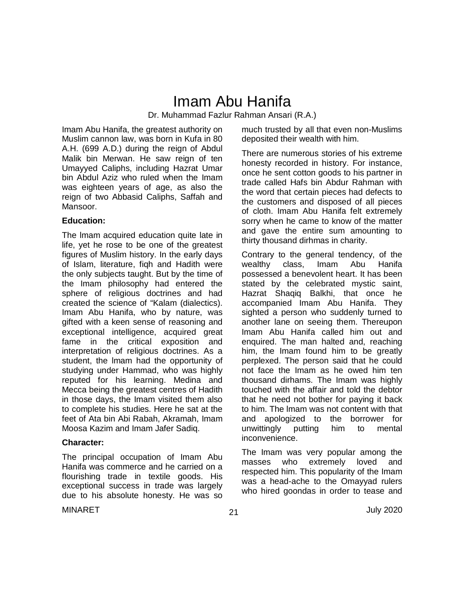## Imam Abu Hanifa Dr. Muhammad Fazlur Rahman Ansari (R.A.)

Imam Abu Hanifa, the greatest authority on Muslim cannon law, was born in Kufa in 80 A.H. (699 A.D.) during the reign of Abdul Malik bin Merwan. He saw reign of ten Umayyed Caliphs, including Hazrat Umar bin Abdul Aziz who ruled when the Imam was eighteen years of age, as also the reign of two Abbasid Caliphs, Saffah and Mansoor.

#### **Education:**

The lmam acquired education quite late in life, yet he rose to be one of the greatest figures of Muslim history. In the early days of Islam, literature, fiqh and Hadith were the only subjects taught. But by the time of the Imam philosophy had entered the sphere of religious doctrines and had created the science of "Kalam (dialectics). Imam Abu Hanifa, who by nature, was gifted with a keen sense of reasoning and exceptional intelligence, acquired great fame in the critical exposition and interpretation of religious doctrines. As a student, the lmam had the opportunity of studying under Hammad, who was highly reputed for his learning. Medina and Mecca being the greatest centres of Hadith in those days, the Imam visited them also to complete his studies. Here he sat at the feet of Ata bin Abi Rabah, Akramah, Imam Moosa Kazim and Imam Jafer Sadiq.

#### **Character:**

The principal occupation of Imam Abu Hanifa was commerce and he carried on a flourishing trade in textile goods. His exceptional success in trade was largely due to his absolute honesty. He was so much trusted by all that even non-Muslims deposited their wealth with him.

There are numerous stories of his extreme honesty recorded in history. For instance, once he sent cotton goods to his partner in trade called Hafs bin Abdur Rahman with the word that certain pieces had defects to the customers and disposed of all pieces of cloth. Imam Abu Hanifa felt extremely sorry when he came to know of the matter and gave the entire sum amounting to thirty thousand dirhmas in charity.

Contrary to the general tendency, of the wealthy class, Imam Abu Hanifa possessed a benevolent heart. It has been stated by the celebrated mystic saint, Hazrat Shaqiq Balkhi, that once he accompanied Imam Abu Hanifa. They sighted a person who suddenly turned to another lane on seeing them. Thereupon Imam Abu Hanifa called him out and enquired. The man halted and, reaching him, the Imam found him to be greatly perplexed. The person said that he could not face the Imam as he owed him ten thousand dirhams. The Imam was highly touched with the affair and told the debtor that he need not bother for paying it back to him. The lmam was not content with that and apologized to the borrower for<br>unwittingly putting him to mental unwittingly putting him to mental inconvenience.

The Imam was very popular among the masses who extremely loved and respected him. This popularity of the Imam was a head-ache to the Omayyad rulers who hired goondas in order to tease and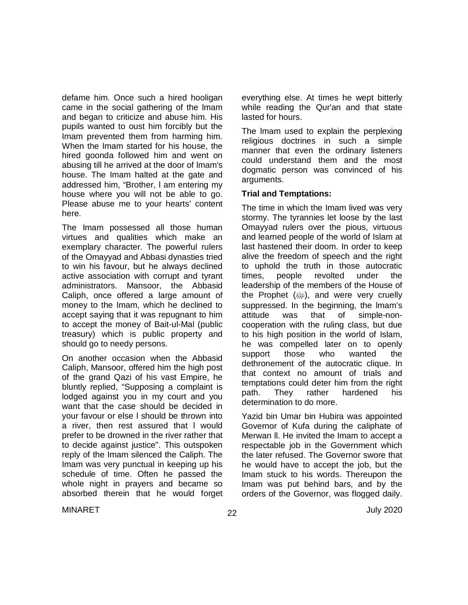defame him. Once such a hired hooligan came in the social gathering of the lmam and began to criticize and abuse him. His pupils wanted to oust him forcibly but the Imam prevented them from harming him. When the Imam started for his house, the hired goonda followed him and went on abusing till he arrived at the door of lmam's house. The Imam halted at the gate and addressed him, "Brother, l am entering my house where you will not be able to go. Please abuse me to your hearts' content here.

The Imam possessed all those human virtues and qualities which make an exemplary character. The powerful rulers of the Omayyad and Abbasi dynasties tried to win his favour, but he always declined active association with corrupt and tyrant administrators. Mansoor, the Abbasid Caliph, once offered a large amount of money to the Imam, which he declined to accept saying that it was repugnant to him to accept the money of Bait-ul-Mal (public treasury) which is public property and should go to needy persons.

On another occasion when the Abbasid Caliph, Mansoor, offered him the high post of the grand Qazi of his vast Empire, he bluntly replied, "Supposing a complaint is lodged against you in my court and you want that the case should be decided in your favour or else l should be thrown into a river, then rest assured that l would prefer to be drowned in the river rather that to decide against justice". This outspoken reply of the Imam silenced the Caliph. The Imam was very punctual in keeping up his schedule of time. Often he passed the whole night in prayers and became so absorbed therein that he would forget everything else. At times he wept bitterly while reading the Qur'an and that state lasted for hours.

The lmam used to explain the perplexing religious doctrines in such a simple manner that even the ordinary listeners could understand them and the most dogmatic person was convinced of his arguments.

#### **Trial and Temptations:**

The time in which the Imam lived was very stormy. The tyrannies let loose by the last Omayyad rulers over the pious, virtuous and learned people of the world of Islam at last hastened their doom. In order to keep alive the freedom of speech and the right to uphold the truth in those autocratic times, people revolted under the leadership of the members of the House of the Prophet  $(\omega)$ , and were very cruelly suppressed. In the beginning, the lmam's attitude was that of simple-noncooperation with the ruling class, but due to his high position in the world of Islam, he was compelled later on to openly support those who wanted the dethronement of the autocratic clique. In that context no amount of trials and temptations could deter him from the right path. They rather hardened his determination to do more.

Yazid bin Umar bin Hubira was appointed Governor of Kufa during the caliphate of Merwan ll. He invited the Imam to accept a respectable job in the Government which the later refused. The Governor swore that he would have to accept the job, but the Imam stuck to his words. Thereupon the Imam was put behind bars, and by the orders of the Governor, was flogged daily.

 $\mu$ MINARET July 2020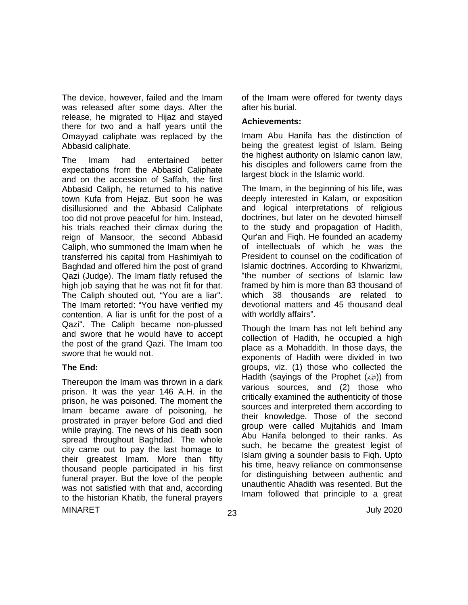The device, however, failed and the Imam was released after some days. After the release, he migrated to Hijaz and stayed there for two and a half years until the Omayyad caliphate was replaced by the Abbasid caliphate.

The Imam had entertained better expectations from the Abbasid Caliphate and on the accession of Saffah, the first Abbasid Caliph, he returned to his native town Kufa from Hejaz. But soon he was disillusioned and the Abbasid Caliphate too did not prove peaceful for him. Instead, his trials reached their climax during the reign of Mansoor, the second Abbasid Caliph, who summoned the Imam when he transferred his capital from Hashimiyah to Baghdad and offered him the post of grand Qazi (Judge). The Imam flatly refused the high job saying that he was not fit for that. The Caliph shouted out, "You are a liar". The Imam retorted: "You have verified my contention. A liar is unfit for the post of a Qazi". The Caliph became non-plussed and swore that he would have to accept the post of the grand Qazi. The Imam too swore that he would not.

#### **The End:**

 $\mu$ MINARET July 2020 Thereupon the Imam was thrown in a dark prison. It was the year 146 A.H. in the prison, he was poisoned. The moment the Imam became aware of poisoning, he prostrated in prayer before God and died while praying. The news of his death soon spread throughout Baghdad. The whole city came out to pay the last homage to their greatest Imam. More than fifty thousand people participated in his first funeral prayer. But the love of the people was not satisfied with that and, according to the historian Khatib, the funeral prayers

of the Imam were offered for twenty days after his burial.

#### **Achievements:**

Imam Abu Hanifa has the distinction of being the greatest legist of Islam. Being the highest authority on Islamic canon law, his disciples and followers came from the largest block in the Islamic world.

The Imam, in the beginning of his life, was deeply interested in Kalam, or exposition and logical interpretations of religious doctrines, but later on he devoted himself to the study and propagation of Hadith, Qur'an and Fiqh. He founded an academy of intellectuals of which he was the President to counsel on the codification of Islamic doctrines. According to Khwarizmi, "the number of sections of Islamic law framed by him is more than 83 thousand of which 38 thousands are related to devotional matters and 45 thousand deal with worldly affairs".

Though the Imam has not left behind any collection of Hadith, he occupied a high place as a Mohaddith. In those days, the exponents of Hadith were divided in two groups, viz. (1) those who collected the Hadith (sayings of the Prophet (ﷺ) Hadith (sayings of the Prophet various sources, and (2) those who critically examined the authenticity of those sources and interpreted them according to their knowledge. Those of the second group were called Mujtahids and Imam Abu Hanifa belonged to their ranks. As such, he became the greatest legist of Islam giving a sounder basis to Fiqh. Upto his time, heavy reliance on commonsense for distinguishing between authentic and unauthentic Ahadith was resented. But the Imam followed that principle to a great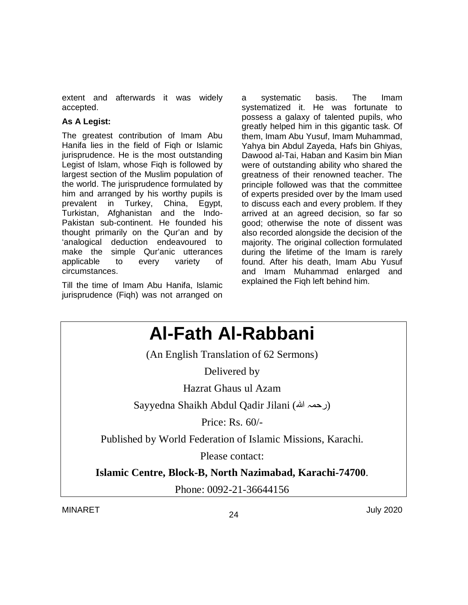extent and afterwards it was widely accepted.

### **As A Legist:**

The greatest contribution of Imam Abu Hanifa lies in the field of Fiqh or Islamic jurisprudence. He is the most outstanding Legist of Islam, whose Fiqh is followed by largest section of the Muslim population of the world. The jurisprudence formulated by him and arranged by his worthy pupils is prevalent in Turkey, China, Egypt, Turkistan, Afghanistan and the Indo-Pakistan sub-continent. He founded his thought primarily on the Qur'an and by 'analogical deduction endeavoured to make the simple Qur'anic utterances applicable to every variety of circumstances.

Till the time of Imam Abu Hanifa, Islamic jurisprudence (Fiqh) was not arranged on a systematic basis. The Imam systematized it. He was fortunate to possess a galaxy of talented pupils, who greatly helped him in this gigantic task. Of them, Imam Abu Yusuf, Imam Muhammad, Yahya bin Abdul Zayeda, Hafs bin Ghiyas, Dawood al-Tai, Haban and Kasim bin Mian were of outstanding ability who shared the greatness of their renowned teacher. The principle followed was that the committee of experts presided over by the Imam used to discuss each and every problem. If they arrived at an agreed decision, so far so good; otherwise the note of dissent was also recorded alongside the decision of the majority. The original collection formulated during the lifetime of the Imam is rarely found. After his death, Imam Abu Yusuf and Imam Muhammad enlarged and explained the Fiqh left behind him.

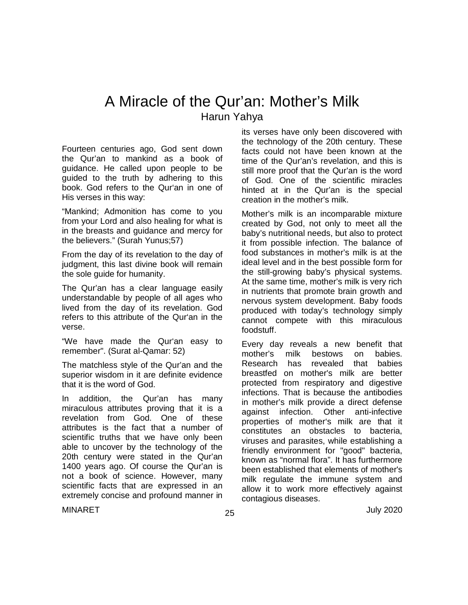# A Miracle of the Qur'an: Mother's Milk Harun Yahya

Fourteen centuries ago, God sent down the Qur'an to mankind as a book of guidance. He called upon people to be guided to the truth by adhering to this book. God refers to the Qur'an in one of His verses in this way:

"Mankind; Admonition has come to you from your Lord and also healing for what is in the breasts and guidance and mercy for the believers." (Surah Yunus;57)

From the day of its revelation to the day of judgment, this last divine book will remain the sole guide for humanity.

The Qur'an has a clear language easily understandable by people of all ages who lived from the day of its revelation. God refers to this attribute of the Qur'an in the verse.

"We have made the Qur'an easy to remember". (Surat al-Qamar: 52)

The matchless style of the Qur'an and the superior wisdom in it are definite evidence that it is the word of God.

In addition, the Qur'an has many miraculous attributes proving that it is a revelation from God. One of these attributes is the fact that a number of scientific truths that we have only been able to uncover by the technology of the 20th century were stated in the Qur'an 1400 years ago. Of course the Qur'an is not a book of science. However, many scientific facts that are expressed in an extremely concise and profound manner in its verses have only been discovered with the technology of the 20th century. These facts could not have been known at the time of the Qur'an's revelation, and this is still more proof that the Qur'an is the word of God. One of the scientific miracles hinted at in the Qur'an is the special creation in the mother's milk.

Mother's milk is an incomparable mixture created by God, not only to meet all the baby's nutritional needs, but also to protect it from possible infection. The balance of food substances in mother's milk is at the ideal level and in the best possible form for the still-growing baby's physical systems. At the same time, mother's milk is very rich in nutrients that promote brain growth and nervous system development. Baby foods produced with today's technology simply cannot compete with this miraculous foodstuff.

Every day reveals a new benefit that mother's milk bestows on babies.<br>Research has revealed that babies revealed that babies breastfed on mother's milk are better protected from respiratory and digestive infections. That is because the antibodies in mother's milk provide a direct defense against infection. Other anti-infective properties of mother's milk are that it constitutes an obstacles to bacteria, viruses and parasites, while establishing a friendly environment for "good" bacteria, known as "normal flora". It has furthermore been established that elements of mother's milk regulate the immune system and allow it to work more effectively against contagious diseases.

 $\mu$ MINARET July 2020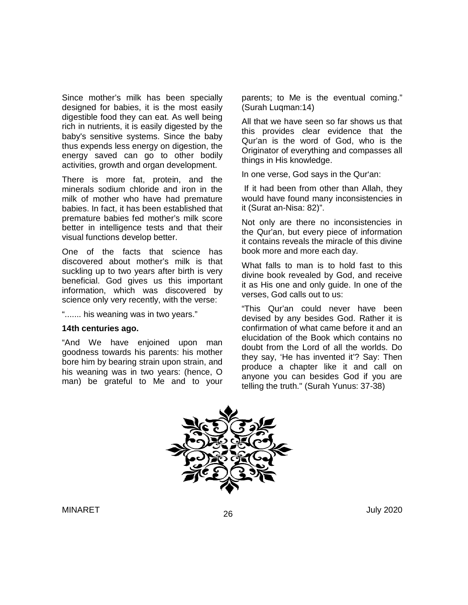Since mother's milk has been specially designed for babies, it is the most easily digestible food they can eat. As well being rich in nutrients, it is easily digested by the baby's sensitive systems. Since the baby thus expends less energy on digestion, the energy saved can go to other bodily activities, growth and organ development.

There is more fat, protein, and the minerals sodium chloride and iron in the milk of mother who have had premature babies. In fact, it has been established that premature babies fed mother's milk score better in intelligence tests and that their visual functions develop better.

One of the facts that science has discovered about mother's milk is that suckling up to two years after birth is very beneficial. God gives us this important information, which was discovered by science only very recently, with the verse:

"....... his weaning was in two years."

#### **14th centuries ago.**

"And We have enjoined upon man goodness towards his parents: his mother bore him by bearing strain upon strain, and his weaning was in two years: (hence, O man) be grateful to Me and to your parents; to Me is the eventual coming." (Surah Luqman:14)

All that we have seen so far shows us that this provides clear evidence that the Qur'an is the word of God, who is the Originator of everything and compasses all things in His knowledge.

In one verse, God says in the Qur'an:

If it had been from other than Allah, they would have found many inconsistencies in it (Surat an-Nisa: 82)".

Not only are there no inconsistencies in the Qur'an, but every piece of information it contains reveals the miracle of this divine book more and more each day.

What falls to man is to hold fast to this divine book revealed by God, and receive it as His one and only guide. In one of the verses, God calls out to us:

"This Qur'an could never have been devised by any besides God. Rather it is confirmation of what came before it and an elucidation of the Book which contains no doubt from the Lord of all the worlds. Do they say, 'He has invented it'? Say: Then produce a chapter like it and call on anyone you can besides God if you are telling the truth." (Surah Yunus: 37-38)

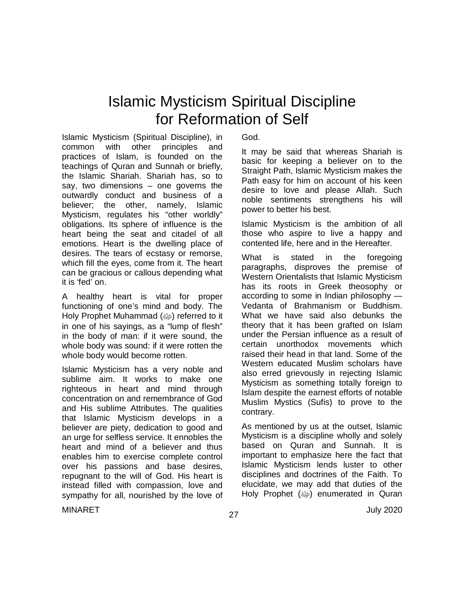# Islamic Mysticism Spiritual Discipline for Reformation of Self

Islamic Mysticism (Spiritual Discipline), in common with other principles and practices of Islam, is founded on the teachings of Quran and Sunnah or briefly, the Islamic Shariah. Shariah has, so to say, two dimensions – one governs the outwardly conduct and business of a believer; the other, namely, Islamic Mysticism, regulates his "other worldly" obligations. Its sphere of influence is the heart being the seat and citadel of all emotions. Heart is the dwelling place of desires. The tears of ecstasy or remorse, which fill the eyes, come from it. The heart can be gracious or callous depending what it is 'fed' on.

A healthy heart is vital for proper functioning of one's mind and body. The Holy Prophet Muhammad (رضية referred to it in one of his sayings, as a "lump of flesh" in the body of man: if it were sound, the whole body was sound: if it were rotten the whole body would become rotten.

Islamic Mysticism has a very noble and sublime aim. It works to make one righteous in heart and mind through concentration on and remembrance of God and His sublime Attributes. The qualities that Islamic Mysticism develops in a believer are piety, dedication to good and an urge for selfless service. It ennobles the heart and mind of a believer and thus enables him to exercise complete control over his passions and base desires, repugnant to the will of God. His heart is instead filled with compassion, love and sympathy for all, nourished by the love of God.

It may be said that whereas Shariah is basic for keeping a believer on to the Straight Path, Islamic Mysticism makes the Path easy for him on account of his keen desire to love and please Allah. Such noble sentiments strengthens his will power to better his best.

Islamic Mysticism is the ambition of all those who aspire to live a happy and contented life, here and in the Hereafter.

What is stated in the foregoing paragraphs, disproves the premise of Western Orientalists that Islamic Mysticism has its roots in Greek theosophy or according to some in Indian philosophy — Vedanta of Brahmanism or Buddhism. What we have said also debunks the theory that it has been grafted on Islam under the Persian influence as a result of certain unorthodox movements which raised their head in that land. Some of the Western educated Muslim scholars have also erred grievously in rejecting Islamic Mysticism as something totally foreign to Islam despite the earnest efforts of notable Muslim Mystics (Sufis) to prove to the contrary.

As mentioned by us at the outset, Islamic Mysticism is a discipline wholly and solely based on Quran and Sunnah. It is important to emphasize here the fact that Islamic Mysticism lends luster to other disciplines and doctrines of the Faith. To elucidate, we may add that duties of the Holy Prophet (@) enumerated in Quran

 $\mu$ MINARET July 2020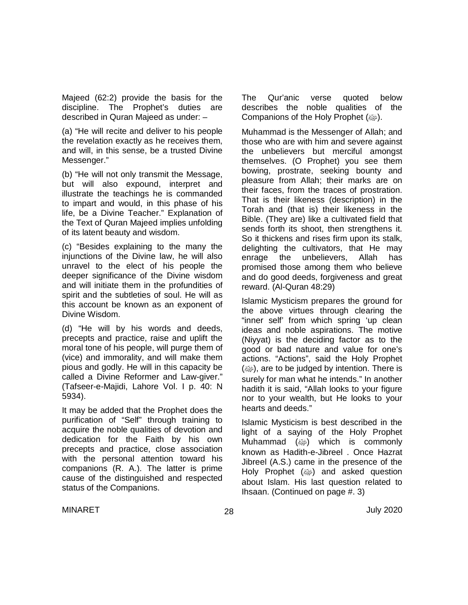Majeed (62:2) provide the basis for the discipline. The Prophet's duties are described in Quran Majeed as under: –

(a) "He will recite and deliver to his people the revelation exactly as he receives them, and will, in this sense, be a trusted Divine Messenger."

(b) "He will not only transmit the Message, but will also expound, interpret and illustrate the teachings he is commanded to impart and would, in this phase of his life, be a Divine Teacher." Explanation of the Text of Quran Majeed implies unfolding of its latent beauty and wisdom.

(c) "Besides explaining to the many the injunctions of the Divine law, he will also unravel to the elect of his people the deeper significance of the Divine wisdom and will initiate them in the profundities of spirit and the subtleties of soul. He will as this account be known as an exponent of Divine Wisdom.

(d) "He will by his words and deeds, precepts and practice, raise and uplift the moral tone of his people, will purge them of (vice) and immorality, and will make them pious and godly. He will in this capacity be called a Divine Reformer and Law-giver." (Tafseer-e-Majidi, Lahore Vol. I p. 40: N 5934).

It may be added that the Prophet does the purification of "Self" through training to acquire the noble qualities of devotion and dedication for the Faith by his own precepts and practice, close association with the personal attention toward his companions (R. A.). The latter is prime cause of the distinguished and respected status of the Companions.

The Qur'anic verse quoted below describes the noble qualities of the Companions of the Holy Prophet ( $\omega$ ).

Muhammad is the Messenger of Allah; and those who are with him and severe against the unbelievers but merciful amongst themselves. (O Prophet) you see them bowing, prostrate, seeking bounty and pleasure from Allah; their marks are on their faces, from the traces of prostration. That is their likeness (description) in the Torah and (that is) their likeness in the Bible. (They are) like a cultivated field that sends forth its shoot, then strengthens it. So it thickens and rises firm upon its stalk, delighting the cultivators, that He may enrage the unbelievers, Allah has promised those among them who believe and do good deeds, forgiveness and great reward. (Al-Quran 48:29)

Islamic Mysticism prepares the ground for the above virtues through clearing the "inner self' from which spring 'up clean ideas and noble aspirations. The motive (Niyyat) is the deciding factor as to the good or bad nature and value for one's actions. "Actions", said the Holy Prophet  $(\omega)$ , are to be judged by intention. There is surely for man what he intends." In another hadith it is said, "Allah looks to your figure nor to your wealth, but He looks to your hearts and deeds."

Islamic Mysticism is best described in the light of a saying of the Holy Prophet Muhammad (ﷺ) which is commonly known as Hadith-e-Jibreel . Once Hazrat Jibreel (A.S.) came in the presence of the Holy Prophet (@) and asked question about Islam. His last question related to Ihsaan. (Continued on page #. 3)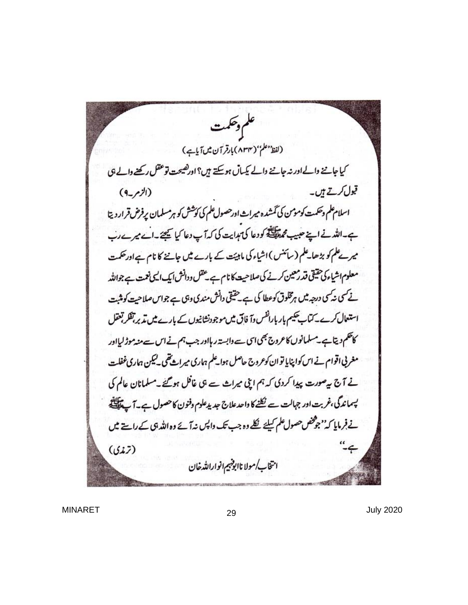عكم وحكمت (لفظ<sup> معلم</sup>''(۸۳۴)بارقر آن میں آیاہے) کیا جاننے دالےاور نہ جاننے دالے کیساں ہوسکتے ہیں؟ اورکھیحت توعقل رکھنے والے ہی قبول کرتے ہیں۔  $(9 - r^{1/2})$ اسلام علم وحکمت کومومن کی گمشدہ میراث اورحصول علم کی کوشش کو ہرمسلمان پرفرض قرار دیتا ہے۔اللہ نے اپنے حبیب محمد اللہ کودعا کی ہدایت کی کہ آپ دعا کیا بچھے۔اے میرے رب میرےعلم کو بڑھا۔علم (سائنس )اشیاء کی ماہیئت کے بارے میں جاننے کا نام ہےاورحکمت معلوم اشیاء کی حقیقی قد رمعین کرنے کی صلاحیت کا نام ہے تحقل ودانش ایک الی نعمت ہے جواللہ نے کسی نہ کسی درجہ میں ہرمخلوق کوعطا کی ہے۔حقیقی دانش مندی وہی ہے جواس صلاحیت کومنبت استعال کرے۔کتاب پھیم بار بارانفس وآ فاق میں موجودنشانیوں کے بارے میں تذبر تفکر تبقل کاحکم دیتاہے۔مسلمانوں کاعروج بھی ای سے دابستہ رہااور جب ہم نے اس سے مند موڑ لیااور مغربی اقوام نے اس کواپنایا توان کوعروج حاصل ہوا علم ہماری میراث تھی۔کیکن ہماری غفلت نے آج سےصورت پیدا کردی کہ ہم اپنی میراث ہے ہی غافل ہوگئے۔مسلمانان عالم کی پسماندگی،غربت اور جہالت سے نکلنے کا واحد علاج جد پدعلوم وفنون کا حصول ہے۔آپ پاپلیٹی نے فرمایا کہ''جوفض حصول علم کیلئے نکلے وہ جب تک واپس نہ آئے وہ اللہ ہی کے راستے میں  $-4$  $(517)$ انتخاب/مولا ناابوقهيم انوارالله خان

MINARET 29 July 2020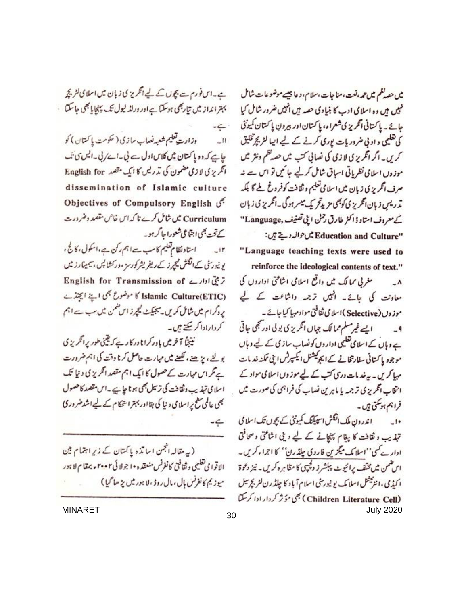ہے۔اس فورس ہے بچوں کے لیے انگریز کی زبان میں اسلامی گٹریج بہتر انداز میں تیاربھی ہوسکتا ہےاور ورلڈ لیول تک پہچایا بھی جاسکتا  $-6$ . وزارت تعلیم شعبه نصاب سازی ( حکومت یا کنتان ) کو  $W_{\omega}$ یاہے کہ وہ پاکتان میں کلاس اول ہے لی۔اے/لی۔ایس ی ک انگریزی لازمی مضمون کی تمریس کا ایک مقصد English for dissemination of Islamic culture Objectives of Compulsory English 3. Curriculum میں شامل کرے تا کہ اس خاص مقصد دضرورت کے تحت بھی اجتماعی شعورا جا گر ہو۔ استاد نظام تعلیم کا سب ہے اہم رکن ہے،اسکول، کالج ،  $\pm i\mathbf{r}$ یو نیورسٹی کے انگلش فیجرز کے ریفر پشر کورسز ،ورکشا پس ، سیمیڈارز میں 7 يُنَ ادارے English for Transmission of Islamic Culture(ETIC) کا موضوع بھی اپنے ایجنڈے بروگرام میں شامل کریں۔سجیکٹ نیچرز اس ضمن میں سب ہے اہم کردارادا کر کیتے ہیں۔ نیپنجا آخر میں باور کرانا در کار ہے کہ یقینی طور پرانگریز ی بولیے ، بڑھنے ، لکھنے میں مہارت حاصل کرنا وقت کی اہم ضرورت ہے گر اس مہارت کے حصول کا ایک اہم مقصد انگریز کی دنیا تک اسلامی تہذیب وثقافت کی ترسل بھی ہو نا جاہے ۔اس مقصد کاحصول بھی عالمی سطح پر اسلامی و نیا کی بقااور بہتر استحکام کے لیے اشد ضرور کی  $-6$ 

(یہ مقالہ الجمن اسا تذ ہ پاکتان کے زیرِ اہتمام بین الاقوا مي تغليمي وثقافتي كانفرنس منعقده •ا جولا ئي ٢٠٠٢ و بمقام لا ہور ميوزيم كانفرنس بإل ، مال روڈ ، لا ہور ميں پڑ ھا گيا )

میں حصہ نظم میں تھر،نعت، مناجات،سلام، دعا جیسے موضوعات شامل خبیں ہیں وہ اسلامی ادب کا بنیادی حصہ ہیں انہیں ضرور شامل کیا حائے ۔ پاکتانی انگریز کی شعراء، پاکتان اور بیرون پاکتان کمیونٹی کی تعلیمی و اوٹی ضروریات پوری کرنے کے لیے اپیا لٹریچ تخلیق کریں۔ اگر انگریزی لازی کی نصالی کتب میں حصہ نظم ونثر میں موز وں اسلامی نظریاتی اساق شامل کرلیے جائمیں تو اس سے نہ صرف انگریز کی زبان میں اسلامی تعلیم وثقافت کوفروغ طے گا بلکہ تمرریس زبان انگریزی کوچی مزیدتج یک میسر ہوگی۔انگریزی زبان کے معروف استاد ڈاکٹر طارق رحمٰن اپنی تصنیف, Language'' "Education and Culture میں حوالہ دیتے ہیں: "Language teaching texts were used to reinforce the ideological contents of text." مغربی ممالک میں واقع اسلامی اشاعتی اداروں کی  $-\Lambda$ معاونت کی جائے۔ انہیں ترجمہ داشاعت کے لیے موز وں ( Selective )اسلامی ثقافتی موادمہا کیا جائے ۔

ایے غیرمسلم ممالک جہاں انگریزی بولی اور بھی جاتی  $-9$ <sub>ے</sub> وہاں کے اسلامی تعلیمی اداروں کونساب سازی کے لیے وہاں موجود پا کتانی سفارتخانے کے ایجوکیشنل ایکسپرٹس اپنی ممکنہ خدیات مہا کریں۔ یہ خد مات دری کت کے لیے موز وں اسلامی مواد کے انتخاب انگریزی ترجمہ یا ماہرین نصاب کی فراہمی کی صورت میں فراہم ہوسکتی ہیں۔

ا ندرون ملک انگش اسپیکنگ کمیونٹی کے بچوں تک اسلامی  $\overline{\phantom{a}}$ تہذیب و ثقافت کا پیغام پہنچانے کے لیے دینی اشاعتی وسحافتی ادارے کی''اسلامک میگزین فاردی چلڈرن'' کا اجراء کریں۔ اس ضمن میں مخلف پرائیوٹ پبلشرز دلچپی کا مظاہرہ کریں۔ نیز دعوۃ ا کیڈی ، انٹزنیشل اسلا یک یو نیورٹی اسلام آباد کا چلڈ رن لٹر کچ سل (Children Literature Cell) بھی مؤثر کردار ادا کر سکتا MINARET July 2020 <sup>30</sup>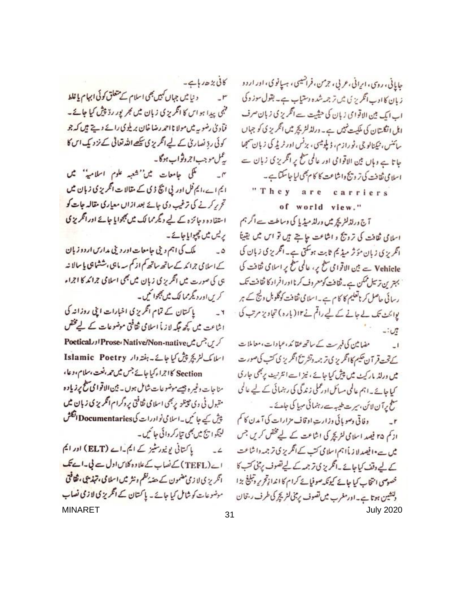کانی بڑھ رہا ہے۔ د نیا میں جہاں کہیں بھی اسلام کے متعلق کوئی **ابہام یا غلط**  $-r$ فہمی پیدا ہو اس کا انگریز کی زبان میں کجر پور رڈ چیش کیا جائے۔ فآدیٰ رضویہ میں مولا نا احمد رضا خان بریلوی رائے وہے ہیں کہ جو کوئی رڈ نصاریٰ کے لیے انگریزی کچھےاللہ تعالی کے نزویک اس کا یٹل موجب اجروثواب ہوگا۔

یکی جامعات میں''شعبہ علوم اسلامیہ'' میں  $-\alpha$ ایم اے،ایم فل اور پی انکا ڈی کے مقالات انگریزی زبان میں تح پر کرنے کی ترغیب دی جائے بعد ازاں مع<u>ا</u>ری مقالہ جات **کو** استفاده و جائزہ کے لیے دیگر ممالک میں بھجوایا جائے اور انگریزی یریس میں چیوایا جائے۔

ملک کی اہم ویلی جامعات اور دیلی م*دارس ارد*وزیان  $-0$ کے اسلامی جرائمہ کے ساتھ ساتھ کم از کم سہ ماہی ،ششماہی پا سالا نہ ہی کی صورت میں انگریز کی زبان میں بھی اسلامی جرائد کا اجراء کریںاور دیگرممالک میں بھجوا کمیں۔

پاکستان کے تمام انگریزی اخبارات اپنی روزانہ کی  $-1$ ا شاعت میں کچھ جگہ لاز یا اسلامی ثقافتی موضوعات کے لیے مختص کریں جس میں Prose، Native/Non-native اور Poetical اسلامک لشریچ پیش کیا جائے۔ہفتہ دار Islamic Poetry Section کا اجراء کیا جائے جس میں حمہ ،نعت ،سلام ،وعا ، منا جات دغیر ہ جیسے موضوعات شامل ہوں۔ بین الاقوا می سطح پر زیاد ہ متبول ٹی وی حینلز پربھی اسلامی ثقافتی پروگرام انگریز کی زبان میں پش کیے جا کیں۔اسلامی نوادرات کیDocumentaries انگلش لينكو ايج ميں بھی تيار كروائى جائيں۔

یا کتانی یونیورسٹیز کے ایم یہ اے (ELT) اور ایم  $-2$ اے (TEFL) کے نصاب کے علاوہ کلاس اول سے لی۔اے تک انگریز کی لا زمی مضمون کے حصۂ نظم ونثر میں اسلامی **، تہذیبی ، ثقافتی** موضوعات کو شامل کیا جائے۔ پاکتان کے انگریزی لازمی نصاب MINARET 31 and 31

حایانی، روی، ایرانی، عربی، ترمن، فرانسیپی، ہسانوی، اور اردو زیان کا ادب انگریز پی میں تر جمہ شدہ دستیاب ہے۔ بقول سوز وکی اب ایک بین الاقوامی زبان کی حیثیت ہے انگریز کی زبان صرف اہل انگلستان کی ملکیت نہیں ہے۔ درلڈلٹر کچر میں انگریز کی کو جہاں سائنس، پیمنالو چی ، نو رازم، ذیلومیسی ، برنس اور ٹریڈ کی زبان سمجھا جاتا ہے وہاں بین الاقوامی اور عالمی سطح پر انگریزی زبان سے اسلامی ثقافت کی تر ویج واشاعت کا کام بھی لیا جا سکتا ہے۔

"They are carriers

of world view."

آج ورلڈلٹریچ میں ورلڈ میڈیا کی وساطت سے اگر ہم اسلامی ثقافت کی ترویج و اشاعت جا ہے ہیں تو اس میں یقیناً انگریزی زبان مؤثر میڈیم ثابت ہوسکتی ہے۔انگریزی زبان کی Vehicle سے بین الاقوامی سطح پر، عالمی سطح پر اسلامی ثقافت کی بہترین ترسل ممکن ہے۔ ثقافت کومعروف کرنا اورافراد کا ثقافت تک رسائی حاصل کر ناتعلیم کا کام ہے۔اسلامی ثقافت کوگلوبل ویج کے ہر یوائٹ تک لے جانے کے لیے راقم نے ۱۲ (بارہ) تجاویز مرتب کی -: Ut

مضامین کی فہرست کے ساتھ عقا کد ،عمادات، معاملات  $\overline{1}$ کے تحت قر آن حکیم کاانگریز پی تر جمہ دنشر سخ انگریز کی کتب کی صورت میں ورلڈ مارکیٹ میں پیش کیا جائے ، نیز اسے انٹرنیٹ پربھی جاری کیا جائے۔اہم عالمی مسائل اورعملی زندگی کی رہنمائی کے لیے عالمی سطح پرآن لائن، سیرت طبیبہ سے رہنمائی مہیا کی جائے۔ وفاقي وصو پائي وزارت اوقاف مزارات کي آيدن کا کم

اد کم r۵ فیصد اسلامی لشریچر کی اشاعت کے لیے مختص کریں جس یں ہے•افیصد لا زیانہم اسلامی کتب کے انگریز کی ترجمہ داشاعت کے لیے وقف کیا جائے۔انگریز کی ترجمہ کے لیے تصوف پر بنی کتب کا خصوصی انتخاب کیا جائے کیونکہ صوفیائے کرام کا اندازتحریر دنبلنج بڑا دنشین ہوتا ہے۔اور مغرب میں تصوف پرمبنی لٹریچر کی طرف رجحان